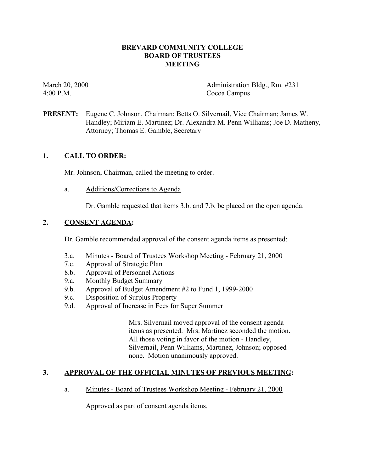## **BREVARD COMMUNITY COLLEGE BOARD OF TRUSTEES MEETING**

4:00 P.M. Cocoa Campus

March 20, 2000 Administration Bldg., Rm. #231

**PRESENT:** Eugene C. Johnson, Chairman; Betts O. Silvernail, Vice Chairman; James W. Handley; Miriam E. Martinez; Dr. Alexandra M. Penn Williams; Joe D. Matheny, Attorney; Thomas E. Gamble, Secretary

# **1. CALL TO ORDER:**

Mr. Johnson, Chairman, called the meeting to order.

a. Additions/Corrections to Agenda

Dr. Gamble requested that items 3.b. and 7.b. be placed on the open agenda.

## **2. CONSENT AGENDA:**

Dr. Gamble recommended approval of the consent agenda items as presented:

- 3.a. Minutes Board of Trustees Workshop Meeting February 21, 2000
- 7.c. Approval of Strategic Plan
- 8.b. Approval of Personnel Actions
- 9.a. Monthly Budget Summary
- 9.b. Approval of Budget Amendment #2 to Fund 1, 1999-2000
- 9.c. Disposition of Surplus Property
- 9.d. Approval of Increase in Fees for Super Summer

Mrs. Silvernail moved approval of the consent agenda items as presented. Mrs. Martinez seconded the motion. All those voting in favor of the motion - Handley, Silvernail, Penn Williams, Martinez, Johnson; opposed none. Motion unanimously approved.

# **3. APPROVAL OF THE OFFICIAL MINUTES OF PREVIOUS MEETING:**

### a. Minutes - Board of Trustees Workshop Meeting - February 21, 2000

Approved as part of consent agenda items.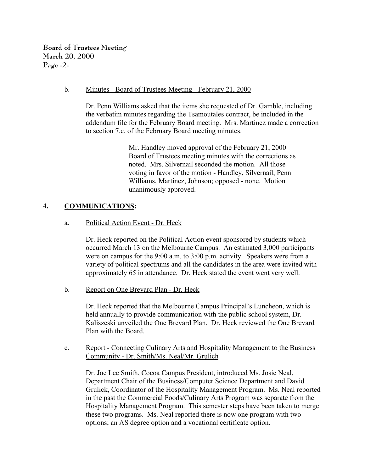**Board of Trustees Meeting March 20, 2000 Page -2-**

#### b. Minutes - Board of Trustees Meeting - February 21, 2000

Dr. Penn Williams asked that the items she requested of Dr. Gamble, including the verbatim minutes regarding the Tsamoutales contract, be included in the addendum file for the February Board meeting. Mrs. Martinez made a correction to section 7.c. of the February Board meeting minutes.

> Mr. Handley moved approval of the February 21, 2000 Board of Trustees meeting minutes with the corrections as noted. Mrs. Silvernail seconded the motion. All those voting in favor of the motion - Handley, Silvernail, Penn Williams, Martinez, Johnson; opposed - none. Motion unanimously approved.

## **4. COMMUNICATIONS:**

### a. Political Action Event - Dr. Heck

Dr. Heck reported on the Political Action event sponsored by students which occurred March 13 on the Melbourne Campus. An estimated 3,000 participants were on campus for the 9:00 a.m. to 3:00 p.m. activity. Speakers were from a variety of political spectrums and all the candidates in the area were invited with approximately 65 in attendance. Dr. Heck stated the event went very well.

b. Report on One Brevard Plan - Dr. Heck

Dr. Heck reported that the Melbourne Campus Principal's Luncheon, which is held annually to provide communication with the public school system, Dr. Kaliszeski unveiled the One Brevard Plan. Dr. Heck reviewed the One Brevard Plan with the Board.

c. Report - Connecting Culinary Arts and Hospitality Management to the Business Community - Dr. Smith/Ms. Neal/Mr. Grulich

Dr. Joe Lee Smith, Cocoa Campus President, introduced Ms. Josie Neal, Department Chair of the Business/Computer Science Department and David Grulick, Coordinator of the Hospitality Management Program. Ms. Neal reported in the past the Commercial Foods/Culinary Arts Program was separate from the Hospitality Management Program. This semester steps have been taken to merge these two programs. Ms. Neal reported there is now one program with two options; an AS degree option and a vocational certificate option.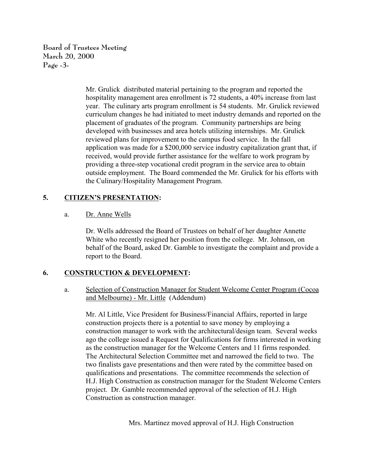**Board of Trustees Meeting March 20, 2000 Page -3-**

> Mr. Grulick distributed material pertaining to the program and reported the hospitality management area enrollment is 72 students, a 40% increase from last year. The culinary arts program enrollment is 54 students. Mr. Grulick reviewed curriculum changes he had initiated to meet industry demands and reported on the placement of graduates of the program. Community partnerships are being developed with businesses and area hotels utilizing internships. Mr. Grulick reviewed plans for improvement to the campus food service. In the fall application was made for a \$200,000 service industry capitalization grant that, if received, would provide further assistance for the welfare to work program by providing a three-step vocational credit program in the service area to obtain outside employment. The Board commended the Mr. Grulick for his efforts with the Culinary/Hospitality Management Program.

# **5. CITIZEN'S PRESENTATION:**

### a. Dr. Anne Wells

Dr. Wells addressed the Board of Trustees on behalf of her daughter Annette White who recently resigned her position from the college. Mr. Johnson, on behalf of the Board, asked Dr. Gamble to investigate the complaint and provide a report to the Board.

### **6. CONSTRUCTION & DEVELOPMENT:**

a. Selection of Construction Manager for Student Welcome Center Program (Cocoa and Melbourne) - Mr. Little (Addendum)

Mr. Al Little, Vice President for Business/Financial Affairs, reported in large construction projects there is a potential to save money by employing a construction manager to work with the architectural/design team. Several weeks ago the college issued a Request for Qualifications for firms interested in working as the construction manager for the Welcome Centers and 11 firms responded. The Architectural Selection Committee met and narrowed the field to two. The two finalists gave presentations and then were rated by the committee based on qualifications and presentations. The committee recommends the selection of H.J. High Construction as construction manager for the Student Welcome Centers project. Dr. Gamble recommended approval of the selection of H.J. High Construction as construction manager.

Mrs. Martinez moved approval of H.J. High Construction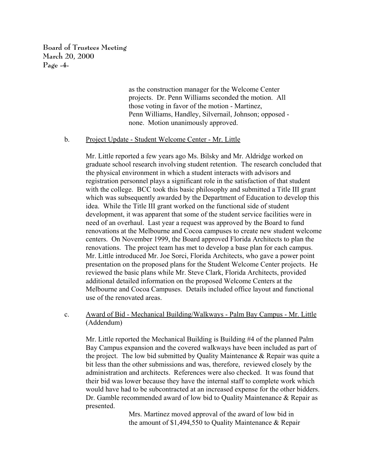**Board of Trustees Meeting March 20, 2000 Page -4-**

> as the construction manager for the Welcome Center projects. Dr. Penn Williams seconded the motion. All those voting in favor of the motion - Martinez, Penn Williams, Handley, Silvernail, Johnson; opposed none. Motion unanimously approved.

#### b. Project Update - Student Welcome Center - Mr. Little

Mr. Little reported a few years ago Ms. Bilsky and Mr. Aldridge worked on graduate school research involving student retention. The research concluded that the physical environment in which a student interacts with advisors and registration personnel plays a significant role in the satisfaction of that student with the college. BCC took this basic philosophy and submitted a Title III grant which was subsequently awarded by the Department of Education to develop this idea. While the Title III grant worked on the functional side of student development, it was apparent that some of the student service facilities were in need of an overhaul. Last year a request was approved by the Board to fund renovations at the Melbourne and Cocoa campuses to create new student welcome centers. On November 1999, the Board approved Florida Architects to plan the renovations. The project team has met to develop a base plan for each campus. Mr. Little introduced Mr. Joe Sorci, Florida Architects, who gave a power point presentation on the proposed plans for the Student Welcome Center projects. He reviewed the basic plans while Mr. Steve Clark, Florida Architects, provided additional detailed information on the proposed Welcome Centers at the Melbourne and Cocoa Campuses. Details included office layout and functional use of the renovated areas.

c. Award of Bid - Mechanical Building/Walkways - Palm Bay Campus - Mr. Little (Addendum)

Mr. Little reported the Mechanical Building is Building #4 of the planned Palm Bay Campus expansion and the covered walkways have been included as part of the project. The low bid submitted by Quality Maintenance & Repair was quite a bit less than the other submissions and was, therefore, reviewed closely by the administration and architects. References were also checked. It was found that their bid was lower because they have the internal staff to complete work which would have had to be subcontracted at an increased expense for the other bidders. Dr. Gamble recommended award of low bid to Quality Maintenance & Repair as presented.

> Mrs. Martinez moved approval of the award of low bid in the amount of \$1,494,550 to Quality Maintenance & Repair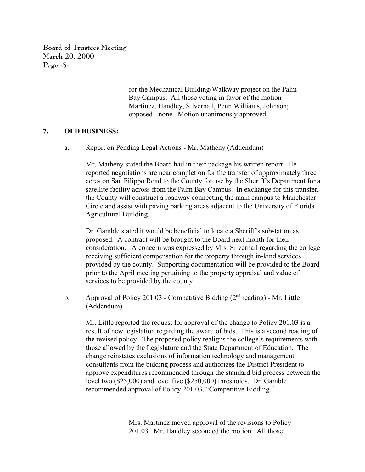**Board of Trustees Meeting March 20, 2000 Page -5-**

> for the Mechanical Building/Walkway project on the Palm Bay Campus. All those voting in favor of the motion - Martinez, Handley, Silvernail, Penn Williams, Johnson; opposed - none. Motion unanimously approved.

## **7. OLD BUSINESS:**

a. Report on Pending Legal Actions - Mr. Matheny (Addendum)

Mr. Matheny stated the Board had in their package his written report. He reported negotiations are near completion for the transfer of approximately three acres on San Filippo Road to the County for use by the Sheriff's Department for a satellite facility across from the Palm Bay Campus. In exchange for this transfer, the County will construct a roadway connecting the main campus to Manchester Circle and assist with paving parking areas adjacent to the University of Florida Agricultural Building.

Dr. Gamble stated it would be beneficial to locate a Sheriff's substation as proposed. A contract will be brought to the Board next month for their consideration. A concern was expressed by Mrs. Silvernail regarding the college receiving sufficient compensation for the property through in-kind services provided by the county. Supporting documentation will be provided to the Board prior to the April meeting pertaining to the property appraisal and value of services to be provided by the county.

b. Approval of Policy 201.03 - Competitive Bidding  $(2<sup>nd</sup> reading)$  - Mr. Little (Addendum)

Mr. Little reported the request for approval of the change to Policy 201.03 is a result of new legislation regarding the award of bids. This is a second reading of the revised policy. The proposed policy realigns the college's requirements with those allowed by the Legislature and the State Department of Education. The change reinstates exclusions of information technology and management consultants from the bidding process and authorizes the District President to approve expenditures recommended through the standard bid process between the level two (\$25,000) and level five (\$250,000) thresholds. Dr. Gamble recommended approval of Policy 201.03, "Competitive Bidding."

> Mrs. Martinez moved approval of the revisions to Policy 201.03. Mr. Handley seconded the motion. All those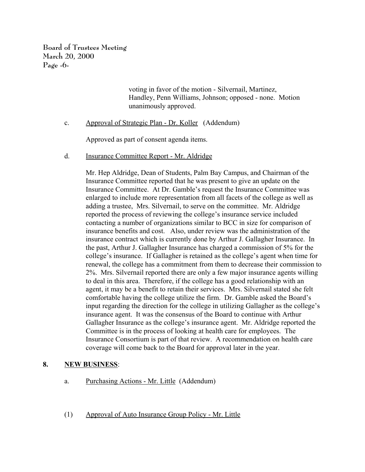**Board of Trustees Meeting March 20, 2000 Page -6-**

> voting in favor of the motion - Silvernail, Martinez, Handley, Penn Williams, Johnson; opposed - none. Motion unanimously approved.

c. Approval of Strategic Plan - Dr. Koller (Addendum)

Approved as part of consent agenda items.

d. Insurance Committee Report - Mr. Aldridge

Mr. Hep Aldridge, Dean of Students, Palm Bay Campus, and Chairman of the Insurance Committee reported that he was present to give an update on the Insurance Committee. At Dr. Gamble's request the Insurance Committee was enlarged to include more representation from all facets of the college as well as adding a trustee, Mrs. Silvernail, to serve on the committee. Mr. Aldridge reported the process of reviewing the college's insurance service included contacting a number of organizations similar to BCC in size for comparison of insurance benefits and cost. Also, under review was the administration of the insurance contract which is currently done by Arthur J. Gallagher Insurance. In the past, Arthur J. Gallagher Insurance has charged a commission of 5% for the college's insurance. If Gallagher is retained as the college's agent when time for renewal, the college has a commitment from them to decrease their commission to 2%. Mrs. Silvernail reported there are only a few major insurance agents willing to deal in this area. Therefore, if the college has a good relationship with an agent, it may be a benefit to retain their services. Mrs. Silvernail stated she felt comfortable having the college utilize the firm. Dr. Gamble asked the Board's input regarding the direction for the college in utilizing Gallagher as the college's insurance agent. It was the consensus of the Board to continue with Arthur Gallagher Insurance as the college's insurance agent. Mr. Aldridge reported the Committee is in the process of looking at health care for employees. The Insurance Consortium is part of that review. A recommendation on health care coverage will come back to the Board for approval later in the year.

# **8. NEW BUSINESS**:

- a. Purchasing Actions Mr. Little (Addendum)
- (1) Approval of Auto Insurance Group Policy Mr. Little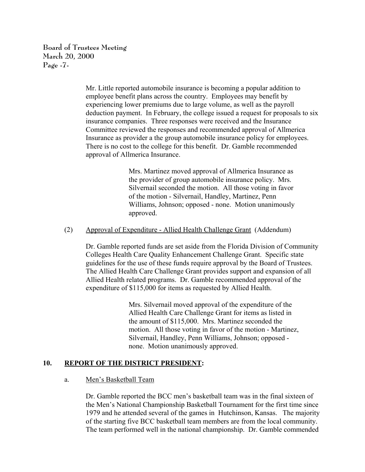**Board of Trustees Meeting March 20, 2000 Page -7-**

> Mr. Little reported automobile insurance is becoming a popular addition to employee benefit plans across the country. Employees may benefit by experiencing lower premiums due to large volume, as well as the payroll deduction payment. In February, the college issued a request for proposals to six insurance companies. Three responses were received and the Insurance Committee reviewed the responses and recommended approval of Allmerica Insurance as provider a the group automobile insurance policy for employees. There is no cost to the college for this benefit. Dr. Gamble recommended approval of Allmerica Insurance.

> > Mrs. Martinez moved approval of Allmerica Insurance as the provider of group automobile insurance policy. Mrs. Silvernail seconded the motion. All those voting in favor of the motion - Silvernail, Handley, Martinez, Penn Williams, Johnson; opposed - none. Motion unanimously approved.

## (2) Approval of Expenditure - Allied Health Challenge Grant (Addendum)

Dr. Gamble reported funds are set aside from the Florida Division of Community Colleges Health Care Quality Enhancement Challenge Grant. Specific state guidelines for the use of these funds require approval by the Board of Trustees. The Allied Health Care Challenge Grant provides support and expansion of all Allied Health related programs. Dr. Gamble recommended approval of the expenditure of \$115,000 for items as requested by Allied Health.

> Mrs. Silvernail moved approval of the expenditure of the Allied Health Care Challenge Grant for items as listed in the amount of \$115,000. Mrs. Martinez seconded the motion. All those voting in favor of the motion - Martinez, Silvernail, Handley, Penn Williams, Johnson; opposed none. Motion unanimously approved.

# **10. REPORT OF THE DISTRICT PRESIDENT:**

### a. Men's Basketball Team

Dr. Gamble reported the BCC men's basketball team was in the final sixteen of the Men's National Championship Basketball Tournament for the first time since 1979 and he attended several of the games in Hutchinson, Kansas. The majority of the starting five BCC basketball team members are from the local community. The team performed well in the national championship. Dr. Gamble commended